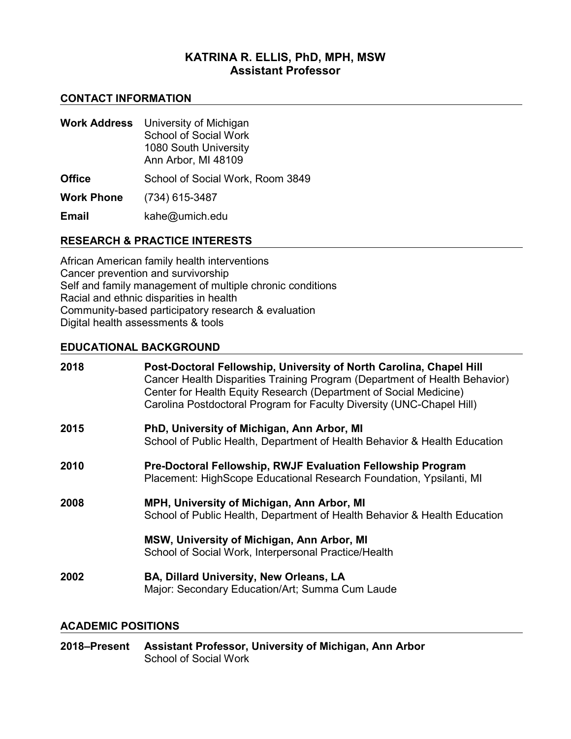# **KATRINA R. ELLIS, PhD, MPH, MSW Assistant Professor**

## **CONTACT INFORMATION**

| <b>Work Address</b> | University of Michigan<br><b>School of Social Work</b><br>1080 South University<br>Ann Arbor, MI 48109 |
|---------------------|--------------------------------------------------------------------------------------------------------|
| <b>Office</b>       | School of Social Work, Room 3849                                                                       |
| <b>Work Phone</b>   | (734) 615-3487                                                                                         |
| <b>Email</b>        | kahe@umich.edu                                                                                         |

# **RESEARCH & PRACTICE INTERESTS**

African American family health interventions Cancer prevention and survivorship Self and family management of multiple chronic conditions Racial and ethnic disparities in health Community-based participatory research & evaluation Digital health assessments & tools

## **EDUCATIONAL BACKGROUND**

| 2018 | Post-Doctoral Fellowship, University of North Carolina, Chapel Hill<br>Cancer Health Disparities Training Program (Department of Health Behavior)<br>Center for Health Equity Research (Department of Social Medicine)<br>Carolina Postdoctoral Program for Faculty Diversity (UNC-Chapel Hill) |
|------|-------------------------------------------------------------------------------------------------------------------------------------------------------------------------------------------------------------------------------------------------------------------------------------------------|
| 2015 | PhD, University of Michigan, Ann Arbor, MI<br>School of Public Health, Department of Health Behavior & Health Education                                                                                                                                                                         |
| 2010 | Pre-Doctoral Fellowship, RWJF Evaluation Fellowship Program<br>Placement: HighScope Educational Research Foundation, Ypsilanti, MI                                                                                                                                                              |
| 2008 | MPH, University of Michigan, Ann Arbor, MI<br>School of Public Health, Department of Health Behavior & Health Education                                                                                                                                                                         |
|      | MSW, University of Michigan, Ann Arbor, MI<br>School of Social Work, Interpersonal Practice/Health                                                                                                                                                                                              |
| 2002 | BA, Dillard University, New Orleans, LA<br>Major: Secondary Education/Art; Summa Cum Laude                                                                                                                                                                                                      |

## **ACADEMIC POSITIONS**

**2018–Present Assistant Professor, University of Michigan, Ann Arbor** School of Social Work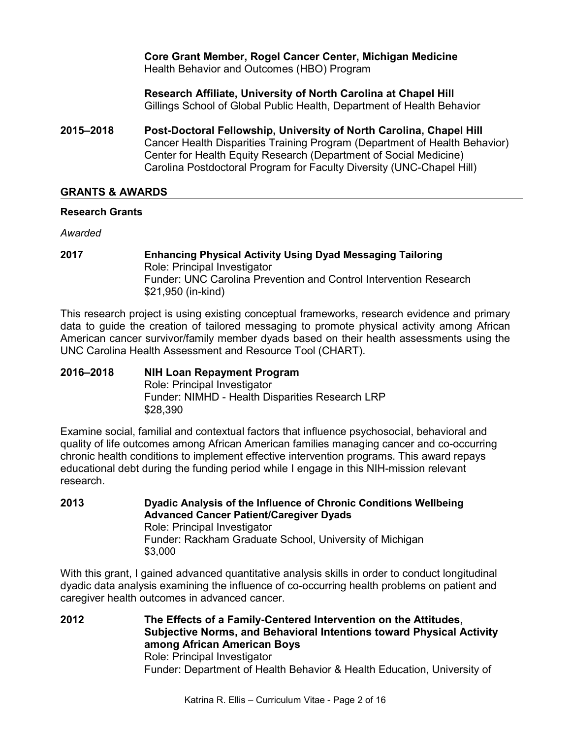## **Core Grant Member, Rogel Cancer Center, Michigan Medicine** Health Behavior and Outcomes (HBO) Program

**Research Affiliate, University of North Carolina at Chapel Hill** Gillings School of Global Public Health, Department of Health Behavior

**2015–2018 Post-Doctoral Fellowship, University of North Carolina, Chapel Hill** Cancer Health Disparities Training Program (Department of Health Behavior) Center for Health Equity Research (Department of Social Medicine) Carolina Postdoctoral Program for Faculty Diversity (UNC-Chapel Hill)

## **GRANTS & AWARDS**

## **Research Grants**

*Awarded*

**2017 Enhancing Physical Activity Using Dyad Messaging Tailoring** Role: Principal Investigator Funder: UNC Carolina Prevention and Control Intervention Research \$21,950 (in-kind)

This research project is using existing conceptual frameworks, research evidence and primary data to guide the creation of tailored messaging to promote physical activity among African American cancer survivor/family member dyads based on their health assessments using the UNC Carolina Health Assessment and Resource Tool (CHART).

#### **2016–2018 NIH Loan Repayment Program** Role: Principal Investigator Funder: NIMHD - Health Disparities Research LRP \$28,390

Examine social, familial and contextual factors that influence psychosocial, behavioral and quality of life outcomes among African American families managing cancer and co-occurring chronic health conditions to implement effective intervention programs. This award repays educational debt during the funding period while I engage in this NIH-mission relevant research.

**2013 Dyadic Analysis of the Influence of Chronic Conditions Wellbeing Advanced Cancer Patient/Caregiver Dyads** Role: Principal Investigator Funder: Rackham Graduate School, University of Michigan \$3,000

With this grant, I gained advanced quantitative analysis skills in order to conduct longitudinal dyadic data analysis examining the influence of co-occurring health problems on patient and caregiver health outcomes in advanced cancer.

**2012 The Effects of a Family-Centered Intervention on the Attitudes, Subjective Norms, and Behavioral Intentions toward Physical Activity among African American Boys** Role: Principal Investigator Funder: Department of Health Behavior & Health Education, University of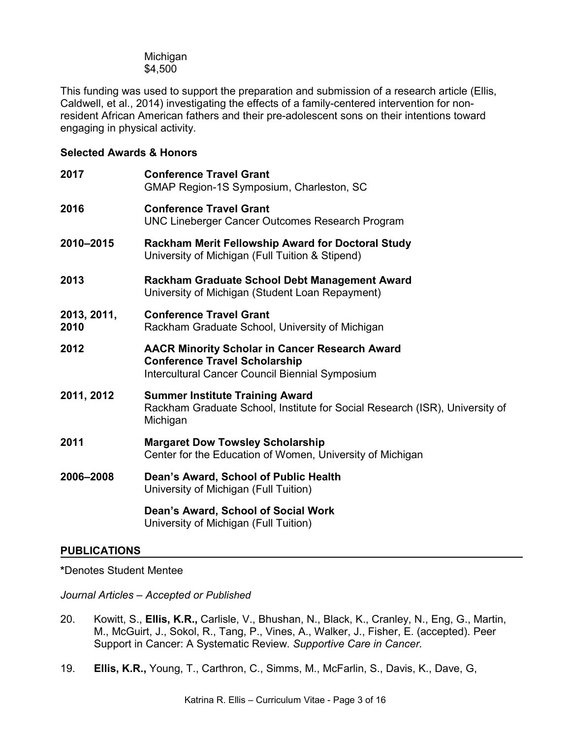Michigan \$4,500

This funding was used to support the preparation and submission of a research article (Ellis, Caldwell, et al., 2014) investigating the effects of a family-centered intervention for nonresident African American fathers and their pre-adolescent sons on their intentions toward engaging in physical activity.

## **Selected Awards & Honors**

| 2017                | <b>Conference Travel Grant</b><br>GMAP Region-1S Symposium, Charleston, SC                                                                       |
|---------------------|--------------------------------------------------------------------------------------------------------------------------------------------------|
| 2016                | <b>Conference Travel Grant</b><br><b>UNC Lineberger Cancer Outcomes Research Program</b>                                                         |
| 2010-2015           | Rackham Merit Fellowship Award for Doctoral Study<br>University of Michigan (Full Tuition & Stipend)                                             |
| 2013                | Rackham Graduate School Debt Management Award<br>University of Michigan (Student Loan Repayment)                                                 |
| 2013, 2011,<br>2010 | <b>Conference Travel Grant</b><br>Rackham Graduate School, University of Michigan                                                                |
| 2012                | <b>AACR Minority Scholar in Cancer Research Award</b><br><b>Conference Travel Scholarship</b><br>Intercultural Cancer Council Biennial Symposium |
| 2011, 2012          | <b>Summer Institute Training Award</b><br>Rackham Graduate School, Institute for Social Research (ISR), University of<br>Michigan                |
| 2011                | <b>Margaret Dow Towsley Scholarship</b><br>Center for the Education of Women, University of Michigan                                             |
| 2006-2008           | Dean's Award, School of Public Health<br>University of Michigan (Full Tuition)                                                                   |
|                     | Dean's Award, School of Social Work                                                                                                              |

University of Michigan (Full Tuition)

## **PUBLICATIONS**

**\***Denotes Student Mentee

*Journal Articles – Accepted or Published* 

- 20. Kowitt, S., **Ellis, K.R.,** Carlisle, V., Bhushan, N., Black, K., Cranley, N., Eng, G., Martin, M., McGuirt, J., Sokol, R., Tang, P., Vines, A., Walker, J., Fisher, E. (accepted). Peer Support in Cancer: A Systematic Review. *Supportive Care in Cancer.*
- 19. **Ellis, K.R.,** Young, T., Carthron, C., Simms, M., McFarlin, S., Davis, K., Dave, G,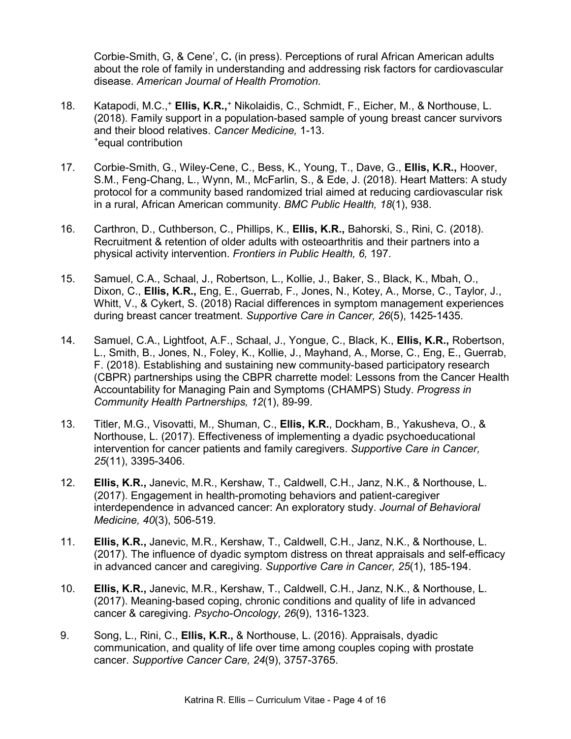Corbie-Smith, G, & Cene', C**.** (in press). Perceptions of rural African American adults about the role of family in understanding and addressing risk factors for cardiovascular disease. *American Journal of Health Promotion.*

- 18. Katapodi, M.C.,+ **Ellis, K.R.,**<sup>+</sup> Nikolaidis, C., Schmidt, F., Eicher, M., & Northouse, L. (2018). Family support in a population-based sample of young breast cancer survivors and their blood relatives. *Cancer Medicine,* 1-13. *+* equal contribution
- 17. Corbie-Smith, G., Wiley-Cene, C., Bess, K., Young, T., Dave, G., **Ellis, K.R.,** Hoover, S.M., Feng-Chang, L., Wynn, M., McFarlin, S., & Ede, J. (2018). Heart Matters: A study protocol for a community based randomized trial aimed at reducing cardiovascular risk in a rural, African American community. *BMC Public Health, 18*(1), 938.
- 16. Carthron, D., Cuthberson, C., Phillips, K., **Ellis, K.R.,** Bahorski, S., Rini, C. (2018). Recruitment & retention of older adults with osteoarthritis and their partners into a physical activity intervention. *Frontiers in Public Health, 6,* 197.
- 15. Samuel, C.A., Schaal, J., Robertson, L., Kollie, J., Baker, S., Black, K., Mbah, O., Dixon, C., **Ellis, K.R.,** Eng, E., Guerrab, F., Jones, N., Kotey, A., Morse, C., Taylor, J., Whitt, V., & Cykert, S. (2018) Racial differences in symptom management experiences during breast cancer treatment. *Supportive Care in Cancer, 26*(5), 1425-1435.
- 14. Samuel, C.A., Lightfoot, A.F., Schaal, J., Yongue, C., Black, K., **Ellis, K.R.,** Robertson, L., Smith, B., Jones, N., Foley, K., Kollie, J., Mayhand, A., Morse, C., Eng, E., Guerrab, F. (2018). Establishing and sustaining new community-based participatory research (CBPR) partnerships using the CBPR charrette model: Lessons from the Cancer Health Accountability for Managing Pain and Symptoms (CHAMPS) Study. *Progress in Community Health Partnerships, 12*(1), 89-99.
- 13. Titler, M.G., Visovatti, M., Shuman, C., **Ellis, K.R.**, Dockham, B., Yakusheva, O., & Northouse, L. (2017). Effectiveness of implementing a dyadic psychoeducational intervention for cancer patients and family caregivers. *Supportive Care in Cancer, 25*(11), 3395-3406.
- 12. **Ellis, K.R.,** Janevic, M.R., Kershaw, T., Caldwell, C.H., Janz, N.K., & Northouse, L. (2017). Engagement in health-promoting behaviors and patient-caregiver interdependence in advanced cancer: An exploratory study. *Journal of Behavioral Medicine, 40*(3), 506-519.
- 11. **Ellis, K.R.,** Janevic, M.R., Kershaw, T., Caldwell, C.H., Janz, N.K., & Northouse, L. (2017). The influence of dyadic symptom distress on threat appraisals and self-efficacy in advanced cancer and caregiving. *Supportive Care in Cancer, 25*(1), 185-194.
- 10. **Ellis, K.R.,** Janevic, M.R., Kershaw, T., Caldwell, C.H., Janz, N.K., & Northouse, L. (2017). Meaning-based coping, chronic conditions and quality of life in advanced cancer & caregiving. *Psycho-Oncology, 26*(9), 1316-1323.
- 9. Song, L., Rini, C., **Ellis, K.R.,** & Northouse, L. (2016). Appraisals, dyadic communication, and quality of life over time among couples coping with prostate cancer. *Supportive Cancer Care, 24*(9), 3757-3765.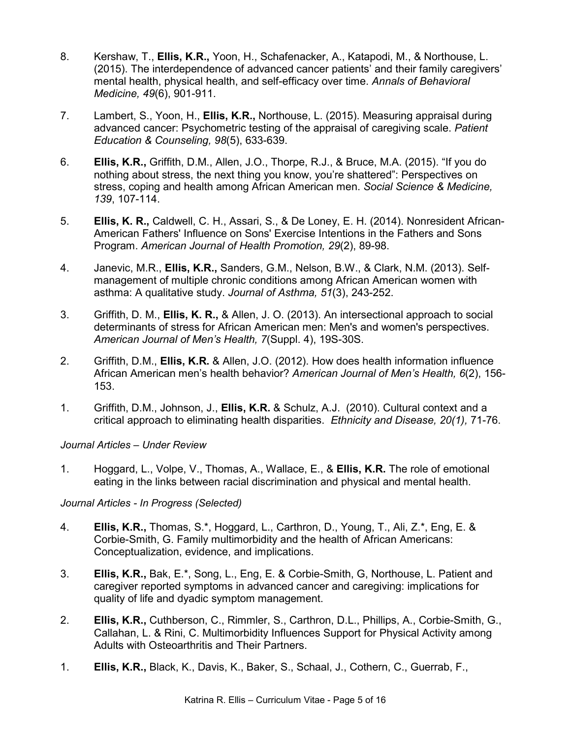- 8. Kershaw, T., **Ellis, K.R.,** Yoon, H., Schafenacker, A., Katapodi, M., & Northouse, L. (2015). The interdependence of advanced cancer patients' and their family caregivers' mental health, physical health, and self-efficacy over time. *Annals of Behavioral Medicine, 49*(6), 901-911.
- 7. Lambert, S., Yoon, H., **Ellis, K.R.,** Northouse, L. (2015). Measuring appraisal during advanced cancer: Psychometric testing of the appraisal of caregiving scale. *Patient Education & Counseling, 98*(5), 633-639.
- 6. **Ellis, K.R.,** Griffith, D.M., Allen, J.O., Thorpe, R.J., & Bruce, M.A. (2015). "If you do nothing about stress, the next thing you know, you're shattered": Perspectives on stress, coping and health among African American men. *Social Science & Medicine, 139*, 107-114.
- 5. **Ellis, K. R.,** Caldwell, C. H., Assari, S., & De Loney, E. H. (2014). Nonresident African-American Fathers' Influence on Sons' Exercise Intentions in the Fathers and Sons Program. *American Journal of Health Promotion, 29*(2), 89-98.
- 4. Janevic, M.R., **Ellis, K.R.,** Sanders, G.M., Nelson, B.W., & Clark, N.M. (2013). Selfmanagement of multiple chronic conditions among African American women with asthma: A qualitative study. *Journal of Asthma, 51*(3), 243-252.
- 3. Griffith, D. M., **Ellis, K. R.,** & Allen, J. O. (2013). An intersectional approach to social determinants of stress for African American men: Men's and women's perspectives. *American Journal of Men's Health, 7*(Suppl. 4), 19S-30S.
- 2. Griffith, D.M., **Ellis, K.R.** & Allen, J.O. (2012). How does health information influence African American men's health behavior? *American Journal of Men's Health, 6*(2), 156- 153.
- 1. Griffith, D.M., Johnson, J., **Ellis, K.R.** & Schulz, A.J. (2010). Cultural context and a critical approach to eliminating health disparities. *Ethnicity and Disease, 20(1),* 71-76.

## *Journal Articles – Under Review*

1. Hoggard, L., Volpe, V., Thomas, A., Wallace, E., & **Ellis, K.R.** The role of emotional eating in the links between racial discrimination and physical and mental health.

## *Journal Articles - In Progress (Selected)*

- 4. **Ellis, K.R.,** Thomas, S.\*, Hoggard, L., Carthron, D., Young, T., Ali, Z.\*, Eng, E. & Corbie-Smith, G. Family multimorbidity and the health of African Americans: Conceptualization, evidence, and implications.
- 3. **Ellis, K.R.,** Bak, E.\*, Song, L., Eng, E. & Corbie-Smith, G, Northouse, L. Patient and caregiver reported symptoms in advanced cancer and caregiving: implications for quality of life and dyadic symptom management.
- 2. **Ellis, K.R.,** Cuthberson, C., Rimmler, S., Carthron, D.L., Phillips, A., Corbie-Smith, G., Callahan, L. & Rini, C. Multimorbidity Influences Support for Physical Activity among Adults with Osteoarthritis and Their Partners.
- 1. **Ellis, K.R.,** Black, K., Davis, K., Baker, S., Schaal, J., Cothern, C., Guerrab, F.,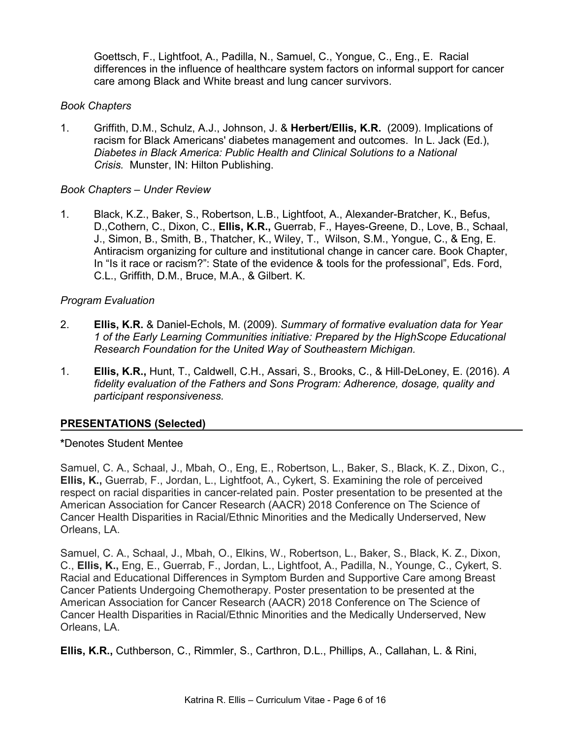Goettsch, F., Lightfoot, A., Padilla, N., Samuel, C., Yongue, C., Eng., E.Racial differences in the influence of healthcare system factors on informal support for cancer care among Black and White breast and lung cancer survivors.

## *Book Chapters*

1. Griffith, D.M., Schulz, A.J., Johnson, J. & **Herbert/Ellis, K.R.** (2009). Implications of racism for Black Americans' diabetes management and outcomes. In L. Jack (Ed.), *Diabetes in Black America: Public Health and Clinical Solutions to a National Crisis.* Munster, IN: Hilton Publishing.

## *Book Chapters – Under Review*

1. Black, K.Z., Baker, S., Robertson, L.B., Lightfoot, A., Alexander-Bratcher, K., Befus, D.,Cothern, C., Dixon, C., **Ellis, K.R.,** Guerrab, F., Hayes-Greene, D., Love, B., Schaal, J., Simon, B., Smith, B., Thatcher, K., Wiley, T., Wilson, S.M., Yongue, C., & Eng, E. Antiracism organizing for culture and institutional change in cancer care. Book Chapter, In "Is it race or racism?": State of the evidence & tools for the professional", Eds. Ford, C.L., Griffith, D.M., Bruce, M.A., & Gilbert. K.

## *Program Evaluation*

- 2. **Ellis, K.R.** & Daniel-Echols, M. (2009). *Summary of formative evaluation data for Year 1 of the Early Learning Communities initiative: Prepared by the HighScope Educational Research Foundation for the United Way of Southeastern Michigan.*
- 1. **Ellis, K.R.,** Hunt, T., Caldwell, C.H., Assari, S., Brooks, C., & Hill-DeLoney, E. (2016). *A fidelity evaluation of the Fathers and Sons Program: Adherence, dosage, quality and participant responsiveness.*

## **PRESENTATIONS (Selected)**

## **\***Denotes Student Mentee

Samuel, C. A., Schaal, J., Mbah, O., Eng, E., Robertson, L., Baker, S., Black, K. Z., Dixon, C., **Ellis, K.,** Guerrab, F., Jordan, L., Lightfoot, A., Cykert, S. Examining the role of perceived respect on racial disparities in cancer-related pain. Poster presentation to be presented at the American Association for Cancer Research (AACR) 2018 Conference on The Science of Cancer Health Disparities in Racial/Ethnic Minorities and the Medically Underserved, New Orleans, LA.

Samuel, C. A., Schaal, J., Mbah, O., Elkins, W., Robertson, L., Baker, S., Black, K. Z., Dixon, C., **Ellis, K.,** Eng, E., Guerrab, F., Jordan, L., Lightfoot, A., Padilla, N., Younge, C., Cykert, S. Racial and Educational Differences in Symptom Burden and Supportive Care among Breast Cancer Patients Undergoing Chemotherapy. Poster presentation to be presented at the American Association for Cancer Research (AACR) 2018 Conference on The Science of Cancer Health Disparities in Racial/Ethnic Minorities and the Medically Underserved, New Orleans, LA.

**Ellis, K.R.,** Cuthberson, C., Rimmler, S., Carthron, D.L., Phillips, A., Callahan, L. & Rini,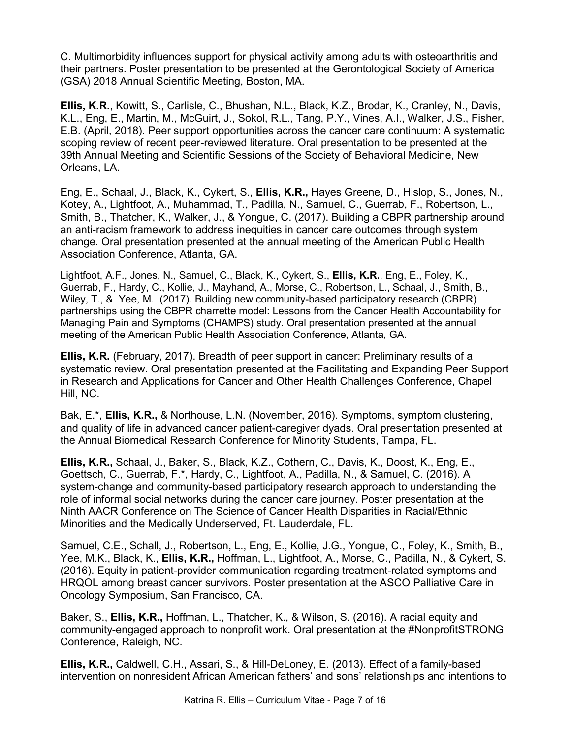C. Multimorbidity influences support for physical activity among adults with osteoarthritis and their partners. Poster presentation to be presented at the Gerontological Society of America (GSA) 2018 Annual Scientific Meeting, Boston, MA.

**Ellis, K.R.**, Kowitt, S., Carlisle, C., Bhushan, N.L., Black, K.Z., Brodar, K., Cranley, N., Davis, K.L., Eng, E., Martin, M., McGuirt, J., Sokol, R.L., Tang, P.Y., Vines, A.I., Walker, J.S., Fisher, E.B. (April, 2018). Peer support opportunities across the cancer care continuum: A systematic scoping review of recent peer-reviewed literature. Oral presentation to be presented at the 39th Annual Meeting and Scientific Sessions of the Society of Behavioral Medicine, New Orleans, LA.

Eng, E., Schaal, J., Black, K., Cykert, S., **Ellis, K.R.,** Hayes Greene, D., Hislop, S., Jones, N., Kotey, A., Lightfoot, A., Muhammad, T., Padilla, N., Samuel, C., Guerrab, F., Robertson, L., Smith, B., Thatcher, K., Walker, J., & Yongue, C. (2017). Building a CBPR partnership around an anti-racism framework to address inequities in cancer care outcomes through system change. Oral presentation presented at the annual meeting of the American Public Health Association Conference, Atlanta, GA.

Lightfoot, A.F., Jones, N., Samuel, C., Black, K., Cykert, S., **Ellis, K.R.**, Eng, E., Foley, K., Guerrab, F., Hardy, C., Kollie, J., Mayhand, A., Morse, C., Robertson, L., Schaal, J., Smith, B., Wiley, T., & Yee, M. (2017). Building new community-based participatory research (CBPR) partnerships using the CBPR charrette model: Lessons from the Cancer Health Accountability for Managing Pain and Symptoms (CHAMPS) study. Oral presentation presented at the annual meeting of the American Public Health Association Conference, Atlanta, GA.

**Ellis, K.R.** (February, 2017). Breadth of peer support in cancer: Preliminary results of a systematic review. Oral presentation presented at the Facilitating and Expanding Peer Support in Research and Applications for Cancer and Other Health Challenges Conference, Chapel Hill, NC.

Bak, E.\*, **Ellis, K.R.,** & Northouse, L.N. (November, 2016). Symptoms, symptom clustering, and quality of life in advanced cancer patient-caregiver dyads. Oral presentation presented at the Annual Biomedical Research Conference for Minority Students, Tampa, FL.

**Ellis, K.R.,** Schaal, J., Baker, S., Black, K.Z., Cothern, C., Davis, K., Doost, K., Eng, E., Goettsch, C., Guerrab, F.\*, Hardy, C., Lightfoot, A., Padilla, N., & Samuel, C. (2016). A system-change and community-based participatory research approach to understanding the role of informal social networks during the cancer care journey. Poster presentation at the Ninth AACR Conference on The Science of Cancer Health Disparities in Racial/Ethnic Minorities and the Medically Underserved, Ft. Lauderdale, FL.

Samuel, C.E., Schall, J., Robertson, L., Eng, E., Kollie, J.G., Yongue, C., Foley, K., Smith, B., Yee, M.K., Black, K., **Ellis, K.R.,** Hoffman, L., Lightfoot, A., Morse, C., Padilla, N., & Cykert, S. (2016). Equity in patient-provider communication regarding treatment-related symptoms and HRQOL among breast cancer survivors. Poster presentation at the ASCO Palliative Care in Oncology Symposium, San Francisco, CA.

Baker, S., **Ellis, K.R.,** Hoffman, L., Thatcher, K., & Wilson, S. (2016). A racial equity and community-engaged approach to nonprofit work. Oral presentation at the #NonprofitSTRONG Conference, Raleigh, NC.

**Ellis, K.R.,** Caldwell, C.H., Assari, S., & Hill-DeLoney, E. (2013). Effect of a family-based intervention on nonresident African American fathers' and sons' relationships and intentions to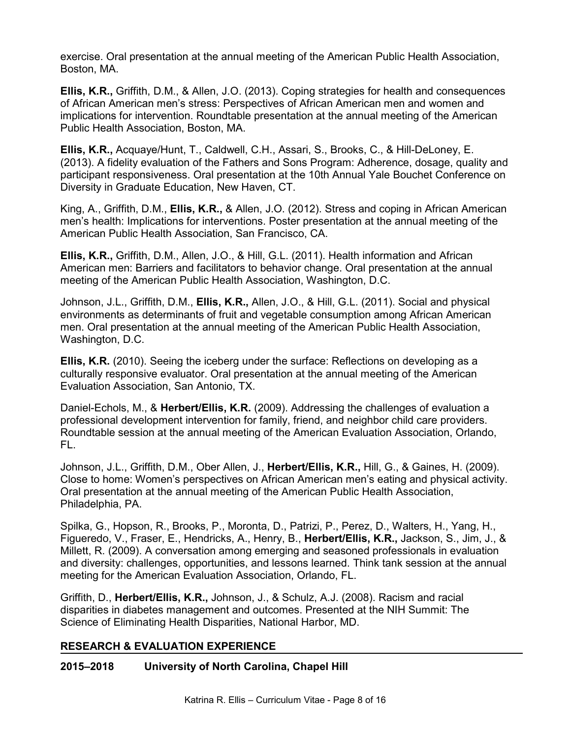exercise. Oral presentation at the annual meeting of the American Public Health Association, Boston, MA.

**Ellis, K.R.,** Griffith, D.M., & Allen, J.O. (2013). Coping strategies for health and consequences of African American men's stress: Perspectives of African American men and women and implications for intervention. Roundtable presentation at the annual meeting of the American Public Health Association, Boston, MA.

**Ellis, K.R.,** Acquaye/Hunt, T., Caldwell, C.H., Assari, S., Brooks, C., & Hill-DeLoney, E. (2013). A fidelity evaluation of the Fathers and Sons Program: Adherence, dosage, quality and participant responsiveness. Oral presentation at the 10th Annual Yale Bouchet Conference on Diversity in Graduate Education, New Haven, CT.

King, A., Griffith, D.M., **Ellis, K.R.,** & Allen, J.O. (2012). Stress and coping in African American men's health: Implications for interventions. Poster presentation at the annual meeting of the American Public Health Association, San Francisco, CA.

**Ellis, K.R.,** Griffith, D.M., Allen, J.O., & Hill, G.L. (2011). Health information and African American men: Barriers and facilitators to behavior change. Oral presentation at the annual meeting of the American Public Health Association, Washington, D.C.

Johnson, J.L., Griffith, D.M., **Ellis, K.R.,** Allen, J.O., & Hill, G.L. (2011). Social and physical environments as determinants of fruit and vegetable consumption among African American men. Oral presentation at the annual meeting of the American Public Health Association, Washington, D.C.

**Ellis, K.R.** (2010). Seeing the iceberg under the surface: Reflections on developing as a culturally responsive evaluator. Oral presentation at the annual meeting of the American Evaluation Association, San Antonio, TX.

Daniel-Echols, M., & **Herbert/Ellis, K.R.** (2009). Addressing the challenges of evaluation a professional development intervention for family, friend, and neighbor child care providers. Roundtable session at the annual meeting of the American Evaluation Association, Orlando, FL.

Johnson, J.L., Griffith, D.M., Ober Allen, J., **Herbert/Ellis, K.R.,** Hill, G., & Gaines, H. (2009). Close to home: Women's perspectives on African American men's eating and physical activity. Oral presentation at the annual meeting of the American Public Health Association, Philadelphia, PA.

Spilka, G., Hopson, R., Brooks, P., Moronta, D., Patrizi, P., Perez, D., Walters, H., Yang, H., Figueredo, V., Fraser, E., Hendricks, A., Henry, B., **Herbert/Ellis, K.R.,** Jackson, S., Jim, J., & Millett, R. (2009). A conversation among emerging and seasoned professionals in evaluation and diversity: challenges, opportunities, and lessons learned. Think tank session at the annual meeting for the American Evaluation Association, Orlando, FL.

Griffith, D., **Herbert/Ellis, K.R.,** Johnson, J., & Schulz, A.J. (2008). Racism and racial disparities in diabetes management and outcomes. Presented at the NIH Summit: The Science of Eliminating Health Disparities, National Harbor, MD.

## **RESEARCH & EVALUATION EXPERIENCE**

## **2015–2018 University of North Carolina, Chapel Hill**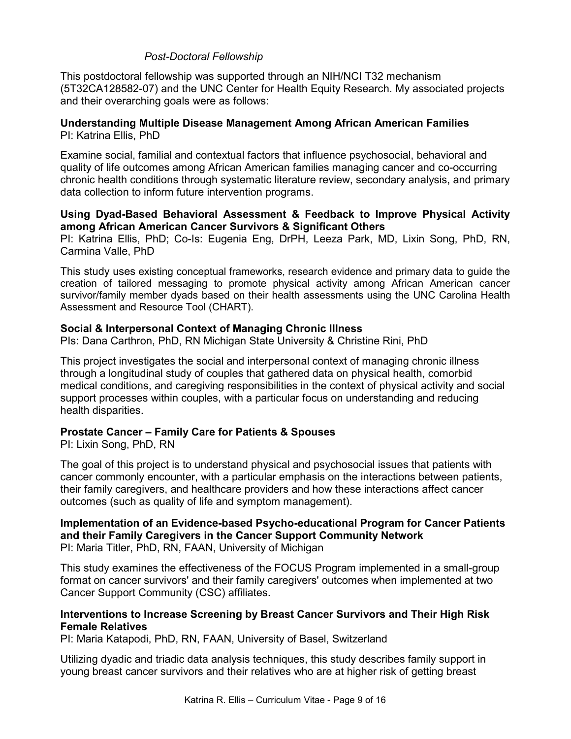## *Post-Doctoral Fellowship*

This postdoctoral fellowship was supported through an NIH/NCI T32 mechanism (5T32CA128582-07) and the UNC Center for Health Equity Research. My associated projects and their overarching goals were as follows:

#### **Understanding Multiple Disease Management Among African American Families** PI: Katrina Ellis, PhD

Examine social, familial and contextual factors that influence psychosocial, behavioral and quality of life outcomes among African American families managing cancer and co-occurring chronic health conditions through systematic literature review, secondary analysis, and primary data collection to inform future intervention programs.

#### **Using Dyad-Based Behavioral Assessment & Feedback to Improve Physical Activity among African American Cancer Survivors & Significant Others**

PI: Katrina Ellis, PhD; Co-Is: Eugenia Eng, DrPH, Leeza Park, MD, Lixin Song, PhD, RN, Carmina Valle, PhD

This study uses existing conceptual frameworks, research evidence and primary data to guide the creation of tailored messaging to promote physical activity among African American cancer survivor/family member dyads based on their health assessments using the UNC Carolina Health Assessment and Resource Tool (CHART).

## **Social & Interpersonal Context of Managing Chronic Illness**

PIs: Dana Carthron, PhD, RN Michigan State University & Christine Rini, PhD

This project investigates the social and interpersonal context of managing chronic illness through a longitudinal study of couples that gathered data on physical health, comorbid medical conditions, and caregiving responsibilities in the context of physical activity and social support processes within couples, with a particular focus on understanding and reducing health disparities.

## **Prostate Cancer – Family Care for Patients & Spouses**

PI: Lixin Song, PhD, RN

The goal of this project is to understand physical and psychosocial issues that patients with cancer commonly encounter, with a particular emphasis on the interactions between patients, their family caregivers, and healthcare providers and how these interactions affect cancer outcomes (such as quality of life and symptom management).

#### **Implementation of an Evidence-based Psycho-educational Program for Cancer Patients and their Family Caregivers in the Cancer Support Community Network** PI: Maria Titler, PhD, RN, FAAN, University of Michigan

This study examines the effectiveness of the FOCUS Program implemented in a small-group format on cancer survivors' and their family caregivers' outcomes when implemented at two Cancer Support Community (CSC) affiliates.

## **Interventions to Increase Screening by Breast Cancer Survivors and Their High Risk Female Relatives**

PI: Maria Katapodi, PhD, RN, FAAN, University of Basel, Switzerland

Utilizing dyadic and triadic data analysis techniques, this study describes family support in young breast cancer survivors and their relatives who are at higher risk of getting breast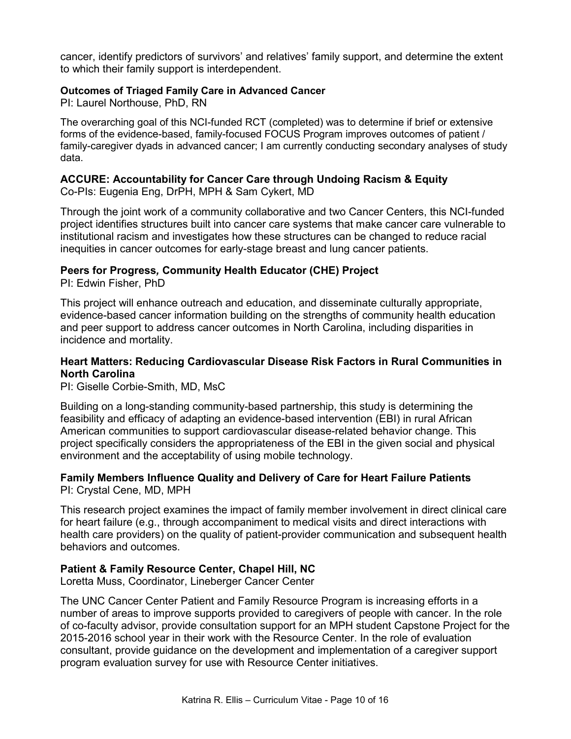cancer, identify predictors of survivors' and relatives' family support, and determine the extent to which their family support is interdependent.

## **Outcomes of Triaged Family Care in Advanced Cancer**

PI: Laurel Northouse, PhD, RN

The overarching goal of this NCI-funded RCT (completed) was to determine if brief or extensive forms of the evidence-based, family-focused FOCUS Program improves outcomes of patient / family-caregiver dyads in advanced cancer; I am currently conducting secondary analyses of study data.

# **ACCURE: Accountability for Cancer Care through Undoing Racism & Equity**

Co-PIs: Eugenia Eng, DrPH, MPH & Sam Cykert, MD

Through the joint work of a community collaborative and two Cancer Centers, this NCI-funded project identifies structures built into cancer care systems that make cancer care vulnerable to institutional racism and investigates how these structures can be changed to reduce racial inequities in cancer outcomes for early-stage breast and lung cancer patients.

## **Peers for Progress***,* **Community Health Educator (CHE) Project**

PI: Edwin Fisher, PhD

This project will enhance outreach and education, and disseminate culturally appropriate, evidence-based cancer information building on the strengths of community health education and peer support to address cancer outcomes in North Carolina, including disparities in incidence and mortality.

## **Heart Matters: Reducing Cardiovascular Disease Risk Factors in Rural Communities in North Carolina**

PI: Giselle Corbie-Smith, MD, MsC

Building on a long-standing community-based partnership, this study is determining the feasibility and efficacy of adapting an evidence-based intervention (EBI) in rural African American communities to support cardiovascular disease-related behavior change. This project specifically considers the appropriateness of the EBI in the given social and physical environment and the acceptability of using mobile technology.

## **Family Members Influence Quality and Delivery of Care for Heart Failure Patients** PI: Crystal Cene, MD, MPH

This research project examines the impact of family member involvement in direct clinical care for heart failure (e.g., through accompaniment to medical visits and direct interactions with health care providers) on the quality of patient-provider communication and subsequent health behaviors and outcomes.

## **Patient & Family Resource Center, Chapel Hill, NC**

Loretta Muss, Coordinator, Lineberger Cancer Center

The UNC Cancer Center Patient and Family Resource Program is increasing efforts in a number of areas to improve supports provided to caregivers of people with cancer. In the role of co-faculty advisor, provide consultation support for an MPH student Capstone Project for the 2015-2016 school year in their work with the Resource Center. In the role of evaluation consultant, provide guidance on the development and implementation of a caregiver support program evaluation survey for use with Resource Center initiatives.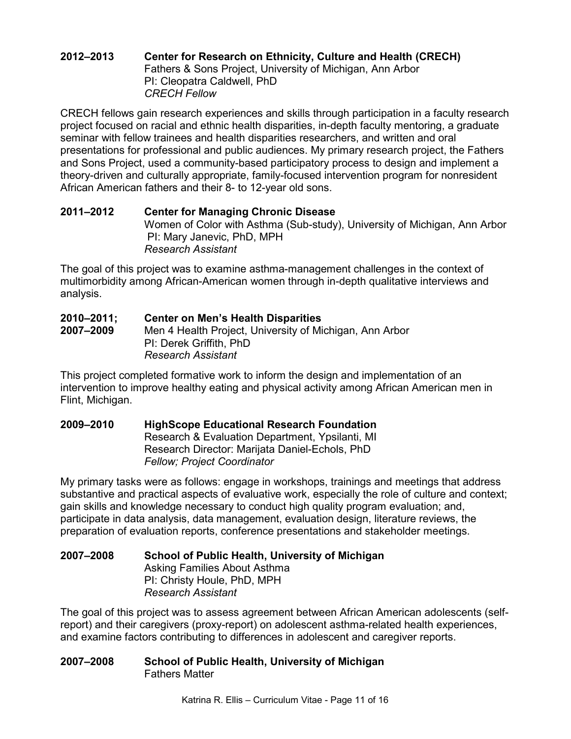## **2012–2013 Center for Research on Ethnicity, Culture and Health (CRECH)** Fathers & Sons Project, University of Michigan, Ann Arbor PI: Cleopatra Caldwell, PhD *CRECH Fellow*

CRECH fellows gain research experiences and skills through participation in a faculty research project focused on racial and ethnic health disparities, in-depth faculty mentoring, a graduate seminar with fellow trainees and health disparities researchers, and written and oral presentations for professional and public audiences. My primary research project, the Fathers and Sons Project, used a community-based participatory process to design and implement a theory-driven and culturally appropriate, family-focused intervention program for nonresident African American fathers and their 8- to 12-year old sons.

# **2011–2012 Center for Managing Chronic Disease**

Women of Color with Asthma (Sub-study), University of Michigan, Ann Arbor PI: Mary Janevic, PhD, MPH *Research Assistant* 

The goal of this project was to examine asthma-management challenges in the context of multimorbidity among African-American women through in-depth qualitative interviews and analysis.

#### **2010–2011; Center on Men's Health Disparities 2007–2009** Men 4 Health Project, University of Michigan, Ann Arbor PI: Derek Griffith, PhD *Research Assistant*

This project completed formative work to inform the design and implementation of an intervention to improve healthy eating and physical activity among African American men in Flint, Michigan.

#### **2009–2010 HighScope Educational Research Foundation** Research & Evaluation Department, Ypsilanti, MI Research Director: Marijata Daniel-Echols, PhD

*Fellow; Project Coordinator* My primary tasks were as follows: engage in workshops, trainings and meetings that address substantive and practical aspects of evaluative work, especially the role of culture and context; gain skills and knowledge necessary to conduct high quality program evaluation; and, participate in data analysis, data management, evaluation design, literature reviews, the preparation of evaluation reports, conference presentations and stakeholder meetings.

## **2007–2008 School of Public Health, University of Michigan** Asking Families About Asthma PI: Christy Houle, PhD, MPH *Research Assistant*

The goal of this project was to assess agreement between African American adolescents (selfreport) and their caregivers (proxy-report) on adolescent asthma-related health experiences, and examine factors contributing to differences in adolescent and caregiver reports.

## **2007–2008 School of Public Health, University of Michigan** Fathers Matter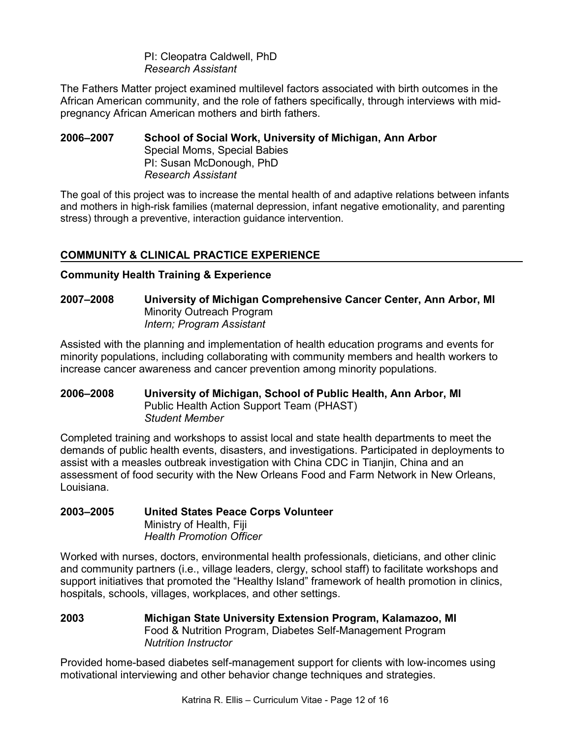PI: Cleopatra Caldwell, PhD *Research Assistant*

The Fathers Matter project examined multilevel factors associated with birth outcomes in the African American community, and the role of fathers specifically, through interviews with midpregnancy African American mothers and birth fathers.

**2006–2007 School of Social Work, University of Michigan, Ann Arbor** Special Moms, Special Babies PI: Susan McDonough, PhD *Research Assistant*

The goal of this project was to increase the mental health of and adaptive relations between infants and mothers in high-risk families (maternal depression, infant negative emotionality, and parenting stress) through a preventive, interaction guidance intervention.

# **COMMUNITY & CLINICAL PRACTICE EXPERIENCE**

## **Community Health Training & Experience**

**2007–2008 University of Michigan Comprehensive Cancer Center, Ann Arbor, MI** Minority Outreach Program *Intern; Program Assistant* 

Assisted with the planning and implementation of health education programs and events for minority populations, including collaborating with community members and health workers to increase cancer awareness and cancer prevention among minority populations.

## **2006–2008 University of Michigan, School of Public Health, Ann Arbor, MI** Public Health Action Support Team (PHAST) *Student Member*

Completed training and workshops to assist local and state health departments to meet the demands of public health events, disasters, and investigations. Participated in deployments to assist with a measles outbreak investigation with China CDC in Tianjin, China and an assessment of food security with the New Orleans Food and Farm Network in New Orleans, Louisiana.

## **2003–2005 United States Peace Corps Volunteer** Ministry of Health, Fiji *Health Promotion Officer*

Worked with nurses, doctors, environmental health professionals, dieticians, and other clinic and community partners (i.e., village leaders, clergy, school staff) to facilitate workshops and support initiatives that promoted the "Healthy Island" framework of health promotion in clinics, hospitals, schools, villages, workplaces, and other settings.

**2003 Michigan State University Extension Program, Kalamazoo, MI** Food & Nutrition Program, Diabetes Self-Management Program *Nutrition Instructor* 

Provided home-based diabetes self-management support for clients with low-incomes using motivational interviewing and other behavior change techniques and strategies.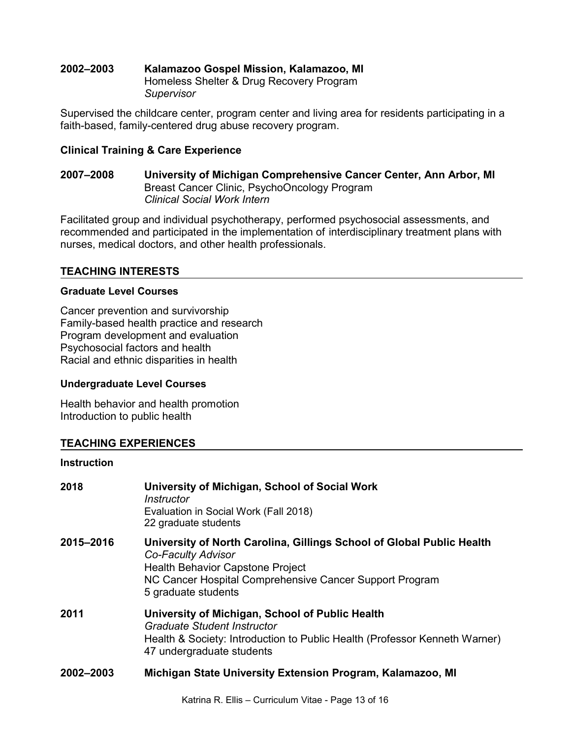#### **2002–2003 Kalamazoo Gospel Mission, Kalamazoo, MI** Homeless Shelter & Drug Recovery Program *Supervisor*

Supervised the childcare center, program center and living area for residents participating in a faith-based, family-centered drug abuse recovery program.

## **Clinical Training & Care Experience**

## **2007–2008 University of Michigan Comprehensive Cancer Center, Ann Arbor, MI** Breast Cancer Clinic, PsychoOncology Program *Clinical Social Work Intern*

Facilitated group and individual psychotherapy, performed psychosocial assessments, and recommended and participated in the implementation of interdisciplinary treatment plans with nurses, medical doctors, and other health professionals.

# **TEACHING INTERESTS**

## **Graduate Level Courses**

Cancer prevention and survivorship Family-based health practice and research Program development and evaluation Psychosocial factors and health Racial and ethnic disparities in health

## **Undergraduate Level Courses**

Health behavior and health promotion Introduction to public health

## **TEACHING EXPERIENCES**

## **Instruction**

| 2018      | University of Michigan, School of Social Work<br>Instructor<br>Evaluation in Social Work (Fall 2018)<br>22 graduate students                                                                                             |
|-----------|--------------------------------------------------------------------------------------------------------------------------------------------------------------------------------------------------------------------------|
| 2015-2016 | University of North Carolina, Gillings School of Global Public Health<br>Co-Faculty Advisor<br><b>Health Behavior Capstone Project</b><br>NC Cancer Hospital Comprehensive Cancer Support Program<br>5 graduate students |
| 2011      | University of Michigan, School of Public Health<br>Graduate Student Instructor<br>Health & Society: Introduction to Public Health (Professor Kenneth Warner)<br>47 undergraduate students                                |
| 2002-2003 | Michigan State University Extension Program, Kalamazoo, MI                                                                                                                                                               |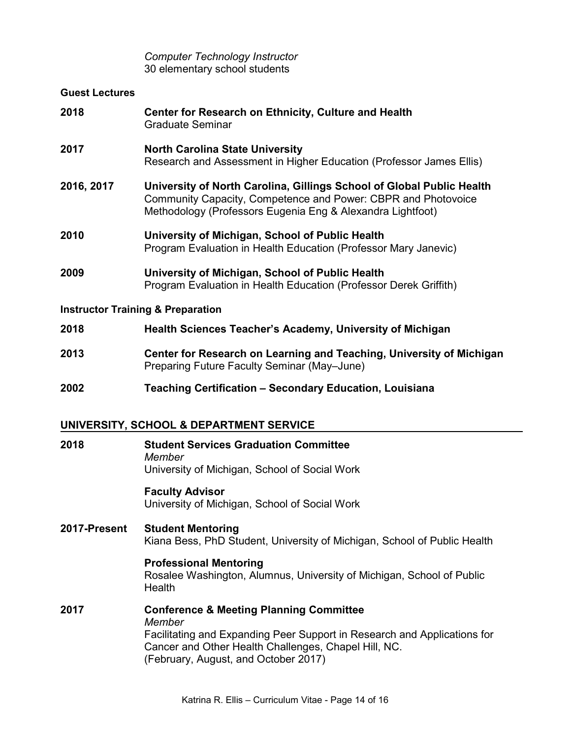## *Computer Technology Instructor* 30 elementary school students

## **Guest Lectures**

| 2018                                         | Center for Research on Ethnicity, Culture and Health<br>Graduate Seminar                                                                                                                             |
|----------------------------------------------|------------------------------------------------------------------------------------------------------------------------------------------------------------------------------------------------------|
| 2017                                         | <b>North Carolina State University</b><br>Research and Assessment in Higher Education (Professor James Ellis)                                                                                        |
| 2016, 2017                                   | University of North Carolina, Gillings School of Global Public Health<br>Community Capacity, Competence and Power: CBPR and Photovoice<br>Methodology (Professors Eugenia Eng & Alexandra Lightfoot) |
| 2010                                         | University of Michigan, School of Public Health<br>Program Evaluation in Health Education (Professor Mary Janevic)                                                                                   |
| 2009                                         | University of Michigan, School of Public Health<br>Program Evaluation in Health Education (Professor Derek Griffith)                                                                                 |
| <b>Instructor Training &amp; Preparation</b> |                                                                                                                                                                                                      |

| 2018 | <b>Health Sciences Teacher's Academy, University of Michigan</b>                                                    |
|------|---------------------------------------------------------------------------------------------------------------------|
| 2013 | Center for Research on Learning and Teaching, University of Michigan<br>Preparing Future Faculty Seminar (May-June) |

# **2002 Teaching Certification – Secondary Education, Louisiana**

# **UNIVERSITY, SCHOOL & DEPARTMENT SERVICE**

| 2018         | <b>Student Services Graduation Committee</b><br>Member<br>University of Michigan, School of Social Work                                                                                                                                  |
|--------------|------------------------------------------------------------------------------------------------------------------------------------------------------------------------------------------------------------------------------------------|
|              | <b>Faculty Advisor</b><br>University of Michigan, School of Social Work                                                                                                                                                                  |
| 2017-Present | <b>Student Mentoring</b><br>Kiana Bess, PhD Student, University of Michigan, School of Public Health                                                                                                                                     |
|              | <b>Professional Mentoring</b><br>Rosalee Washington, Alumnus, University of Michigan, School of Public<br>Health                                                                                                                         |
| 2017         | <b>Conference &amp; Meeting Planning Committee</b><br>Member<br>Facilitating and Expanding Peer Support in Research and Applications for<br>Cancer and Other Health Challenges, Chapel Hill, NC.<br>(February, August, and October 2017) |